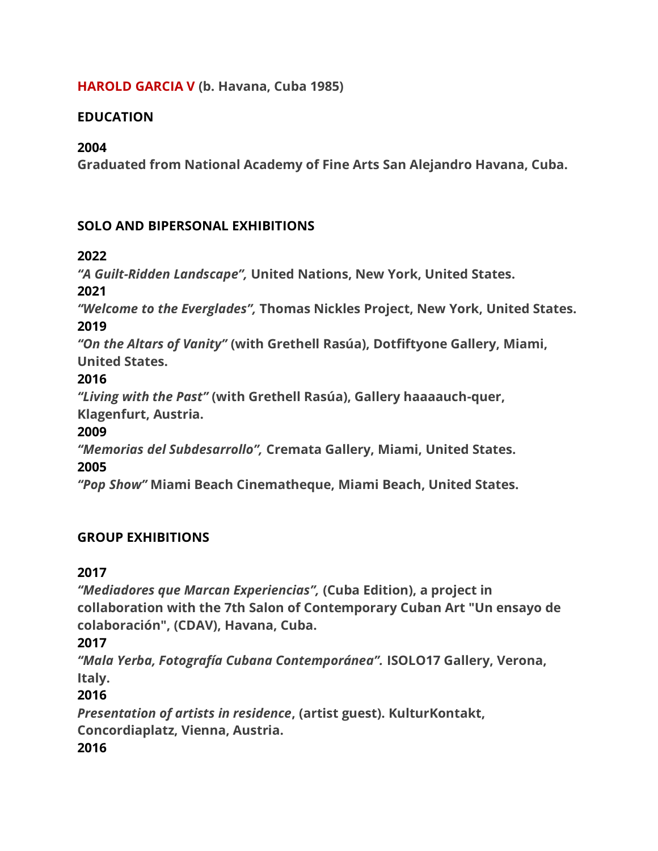#### **HAROLD GARCIA V (b. Havana, Cuba 1985)**

#### **EDUCATION**

#### **2004**

**Graduated from National Academy of Fine Arts San Alejandro Havana, Cuba.** 

#### **SOLO AND BIPERSONAL EXHIBITIONS**

#### **2022**

*"A Guilt-Ridden Landscape",* **United Nations, New York, United States.**

#### **2021**

*"Welcome to the Everglades",* **Thomas Nickles Project, New York, United States.** 

#### **2019**

*"On the Altars of Vanity"* **(with Grethell Rasúa), Dotfiftyone Gallery, Miami, United States.** 

## **2016**

*"Living with the Past"* **(with Grethell Rasúa), Gallery haaaauch-quer,** 

**Klagenfurt, Austria.** 

## **2009**

*"Memorias del Subdesarrollo",* **Cremata Gallery, Miami, United States.** 

## **2005**

*"Pop Show"* **Miami Beach Cinematheque, Miami Beach, United States.** 

# **GROUP EXHIBITIONS**

## **2017**

*"Mediadores que Marcan Experiencias",* **(Cuba Edition), a project in collaboration with the 7th Salon of Contemporary Cuban Art "Un ensayo de colaboración", (CDAV), Havana, Cuba.** 

## **2017**

*"Mala Yerba, Fotografía Cubana Contemporánea".* **ISOLO17 Gallery, Verona, Italy.** 

## **2016**

*Presentation of artists in residence***, (artist guest). KulturKontakt, Concordiaplatz, Vienna, Austria. 2016**